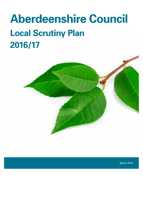# **Aberdeenshire Council Local Scrutiny Plan 2016/17**



March 2016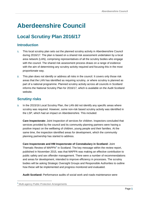# **Aberdeenshire Council**

## **Local Scrutiny Plan 2016/17**

#### **Introduction**

- **1.** This local scrutiny plan sets out the planned scrutiny activity in Aberdeenshire Council during 2016/17. The plan is based on a shared risk assessment undertaken by a local area network (LAN), comprising representatives of all the scrutiny bodies who engage with the council. The shared risk assessment process draws on a range of evidence with the aim of determining any scrutiny activity required and focusing this in the most proportionate way.
- **2.** This plan does not identify or address all risks in the council. It covers only those risk areas that the LAN has identified as requiring scrutiny, or where scrutiny is planned as part of a national programme. Planned scrutiny activity across all councils in Scotland informs the National Scrutiny Plan for 2016/17, which is available on the Audit Scotland website.

#### **Scrutiny risks**

**3.** In the 2015/16 Local Scrutiny Plan, the LAN did not identify any specific areas where scrutiny was required. However, some non-risk based scrutiny activity was identified in the LSP, which had an impact on Aberdeenshire. This included:

**Care Inspectorate:** Joint Inspection of services for children. Inspectors concluded that services provided by the council and its community planning partners were having a positive impact on the wellbeing of children, young people and their families. At the same time, the inspection identified areas for development, which the community planning partnership has started to address.

**Care Inspectorate and HM Inspectorate of Constabulary in Scotland:** Joint Thematic Review of MAPPA**[1](#page-1-0)** in Scotland. The key message within the review report, published in November 2015, was that MAPPA was making an effective contribution to public safety and sex offender management. There were a number of recommendations and areas for development, intended to improve efficiency in processes. The scrutiny bodies will be asking Strategic Oversight Groups and Responsible Authorities to outline how these will be implemented and progress monitored and evaluated.

**Audit Scotland:** Performance audits of social work and roads maintenance were

 $\overline{a}$ 

<span id="page-1-0"></span>**<sup>1</sup>** Multi-agency Public Protection Arrangements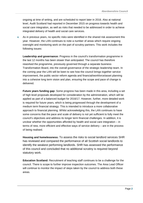ongoing at time of writing, and are scheduled to report later in 2016. Also at national level, Audit Scotland had reported in December 2015 on progress towards health and social care integration, as well as risks that needed to be addressed in order to achieve integrated delivery of health and social care services.

**4.** As in previous years, no specific risks were identified in the shared risk assessment this year. However, the LAN continues to note a number of areas which require ongoing oversight and monitoring work on the part of scrutiny partners. This work includes the following issues:

**Leadership and governance:** Progress in the council's transformation programme in the last 12 months has been slower than anticipated. The council has therefore reworked the programme, previously governed through a separate business Transformation Board, into the overall governance of the strategic leadership team. In the coming year the LAN will be keen to see how the council brings together service improvement, the public sector reform agenda and financial/workforce/asset planning into a cohesive long term vision and plan, ensuring the scope and pace of change is delivered.

**Future years funding gap:** Some progress has been made in this area, including a set of high level proposals developed for consideration by the administration, which will be applied as part of a balanced budget for 2016/17. However, further, more detailed work is required for future years, which is being progressed through the development of a medium term financial strategy. This is intended to introduce a more collaborative approach to financial planning. Whilst acknowledging this, the LAN continues to have some concerns that the pace and scale of delivery is not yet sufficient to fully meet the council's objectives and address its longer term financial challenges. In addition, it is unclear whether the opportunities afforded by health and social care integration – in terms of new, more efficient and effective ways of service delivery – are in the process of being realised.

**Housing and homelessness:** To assess the risks to social landlord services SHR has reviewed and compared the performance of all Scottish social landlords to identify the weakest performing landlords. SHR has assessed the performance of this council and concluded that no additional scrutiny is required beyond statutory work.

**Education Scotland:** Recruitment of teaching staff continues to be a challenge for the council. There is scope to further improve inspection outcomes. The Area Lead Officer will continue to monitor the impact of steps taken by the council to address both these areas.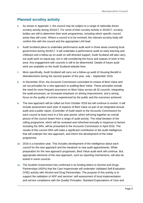#### **Planned scrutiny activity**

- **5.** As shown in Appendix 1, the council may be subject to a range of nationally driven scrutiny activity during 2016/17. For some of their scrutiny activity in 2016/17, scrutiny bodies are still to determine their work programmes, including which specific council areas they will cover. Where a council is to be involved, the relevant scrutiny body will confirm this with the council and the appropriate LAN lead.
- **6.** Audit Scotland plans to undertake performance audit work in three areas covering local government during 2016/17. It will undertake a performance audit on early learning and childcare and a follow-up on audit on self-directed support. Audit Scotland will also carry out audit work on equal pay, but is still considering the focus and outputs of work in this area. Any engagement with councils is still to be determined. Details of future audit work are available on the Audit Scotland website [here.](http://www.audit-scotland.gov.uk/our-work/future-work)
- **7.** More specifically, Audit Scotland will carry out a follow-up audit of Housing Benefit in Aberdeenshire during the second quarter of the year, July – September 2016.
- **8.** In December 2014, the Accounts Commission concluded its review of Best Value and set out principles for a new approach to auditing Best Value. These principles include the need for more frequent assurance on Best Value across all 32 councils, integrating the audit processes, an increased emphasis on driving improvement, and a strong focus on the quality of service experienced by the public and the outcomes achieved.
- **9.** The new approach will be rolled out from October 2016 but will continue to evolve. It will include assessment each year of aspects of Best Value as part of an integrated annual audit and a public report, (Controller of Audit report to the Accounts Commission) for each council at least once in a five year period, which will bring together an overall picture of the council drawn from a range of audit activity. The initial iteration of the rolling programme, which will be reviewed and refreshed annually in response to factors including the SRA, will be presented to the Accounts Commission in April 2016. The results of this current SRA will make a significant contribution to the audit intelligence that will underpin the new approach, and inform the development of the initial programme.
- **10.** 2016 is a transition year. This includes development of the intelligence about each council for the new approach and the handover to new audit appointments. While preparation for the new approach progresses, Best Value audit work will continue. But, appropriate elements of the new approach, such as reporting mechanisms, will also be tested in some councils.
- **11.** The Scottish Government has confirmed in its funding letters to Alcohol and Drugs Partnerships (ADPs) that the Care Inspectorate will undertake Validated Self-Evaluation (VSE) activity with Alcohol and Drug Partnerships. The purpose of this activity is to support the validation of ADP and services' self-assessment of local implementation and service compliance with the Quality Principles: Standard Expectations of Care and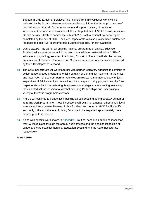Support in Drug & Alcohol Services. The findings from this validation work will be reviewed by the Scottish Government to consider and inform the future programme of national support that will further encourage and support delivery of continued improvements at ADP and service level. It is anticipated that all 30 ADPs will participate. On site activity is likely to commence in March 2016 with a national overview report completed by the end of 2016. The Care Inspectorate will also provide brief, customised feedback to each ADP in order to help build their capacity for self-evaluation.

- **12.** During 2016/17, as part of an ongoing national programme of activity, Education Scotland will support the council in carrying out a validated self-evaluation (VSE) of educational psychology services. In addition, Education Scotland will also be carrying out a review of Careers Information and Guidance services in Aberdeenshire delivered by Skills Development Scotland.
- **13.** The Care Inspectorate will work together with partner regulatory agencies to continue to deliver a coordinated programme of joint scrutiny of Community Planning Partnerships and integration joint boards. Partner agencies are reviewing the methodology for joint inspections of Adults' services. As well as joint strategic scrutiny programmes, the Care Inspectorate will also be reviewing its approach to strategic commissioning, reviewing the validated self-assessment of Alcohol and Drug Partnerships and undertaking a variety of thematic programmes of work.
- **14.** HMICS will continue to inspect local policing across Scotland during 2016/17 as part of its rolling work programme. These inspections will examine, amongst other things, local scrutiny and engagement between Police Scotland and councils. HMICS will identify and notify LANs and the local Policing Divisions to be inspected approximately three months prior to inspection.
- **15.** Along with specific work shown in Appendix 1, routine, scheduled audit and inspection work will take place through the annual audit process and the ongoing inspection of school and care establishments by Education Scotland and the Care Inspectorate respectively.

#### **March 2016**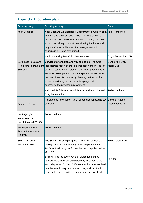#### **Appendix 1: Scrutiny plan**

| <b>Scrutiny body</b>                                     | <b>Scrutiny activity</b>                                                                                                                                                                                                                                                                                                                                                                                              | <b>Date</b>                       |
|----------------------------------------------------------|-----------------------------------------------------------------------------------------------------------------------------------------------------------------------------------------------------------------------------------------------------------------------------------------------------------------------------------------------------------------------------------------------------------------------|-----------------------------------|
| <b>Audit Scotland</b>                                    | Audit Scotland will undertake a performance audit on early To be confirmed<br>learning and childcare and a follow-up on audit on self-<br>directed support. Audit Scotland will also carry out audit<br>work on equal pay, but is still considering the focus and<br>outputs of work in this area. Any engagement with<br>councils is still to be determined.                                                         |                                   |
|                                                          | Audit of Housing Benefit in Aberdeenshire.                                                                                                                                                                                                                                                                                                                                                                            | July - September 2016             |
| Care Inspectorate and<br>Scotland                        | Services for children and young people: The Care<br>Healthcare Improvement Inspectorate report on the joint inspection of services for<br>children, published in October 2015, highlighted some key<br>areas for development. The link inspector will work with<br>the council and its community planning partners with a<br>view to monitoring the partnership's progress in<br>addressing the need for improvement. | During April 2016 -<br>March 2017 |
|                                                          | Validated Self-Evaluation (VSE) activity with Alcohol and<br>Drug Partnerships.                                                                                                                                                                                                                                                                                                                                       | To be confirmed                   |
| <b>Education Scotland</b>                                | Validated self-evaluation (VSE) of educational psychology<br>services.                                                                                                                                                                                                                                                                                                                                                | Between August-<br>December 2016  |
| Her Majesty's<br>Inspectorate of<br>Constabulary (HMICS) | To be confirmed                                                                                                                                                                                                                                                                                                                                                                                                       |                                   |
| Her Majesty's Fire<br>Service Inspectorate<br>(HMFSI)    | To be confirmed                                                                                                                                                                                                                                                                                                                                                                                                       |                                   |
| Scottish Housing<br>Regulator (SHR)                      | The Scottish Housing Regulator (SHR) will publish the<br>findings of its thematic inquiry work completed during<br>2015-16. It will carry out further thematic inquiries during<br>2016-17.                                                                                                                                                                                                                           | To be determined                  |
|                                                          | SHR will also review the Charter data submitted by<br>landlords and carry out data accuracy visits during the<br>second quarter of 2016/17. If the council is to be involved<br>in a thematic inquiry or a data accuracy visit SHR will<br>confirm this directly with the council and the LAN lead.                                                                                                                   | Quarter 2                         |